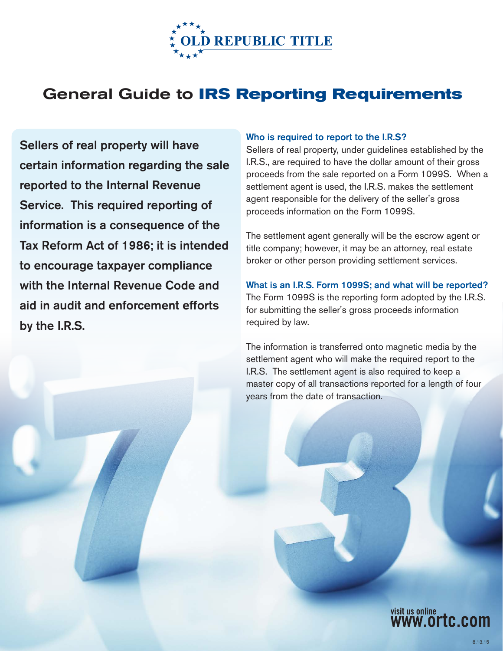

# General Guide to **IRS Reporting Requirements**

Sellers of real property will have certain information regarding the sale reported to the Internal Revenue Service. This required reporting of information is a consequence of the Tax Reform Act of 1986; it is intended to encourage taxpayer compliance with the Internal Revenue Code and aid in audit and enforcement efforts by the I.R.S.

#### Who is required to report to the I.R.S?

Sellers of real property, under guidelines established by the I.R.S., are required to have the dollar amount of their gross proceeds from the sale reported on a Form 1099S. When a settlement agent is used, the I.R.S. makes the settlement agent responsible for the delivery of the seller's gross proceeds information on the Form 1099S.

The settlement agent generally will be the escrow agent or title company; however, it may be an attorney, real estate broker or other person providing settlement services.

What is an I.R.S. Form 1099S; and what will be reported? The Form 1099S is the reporting form adopted by the I.R.S. for submitting the seller's gross proceeds information required by law.

The information is transferred onto magnetic media by the settlement agent who will make the required report to the I.R.S. The settlement agent is also required to keep a master copy of all transactions reported for a length of four years from the date of transaction.